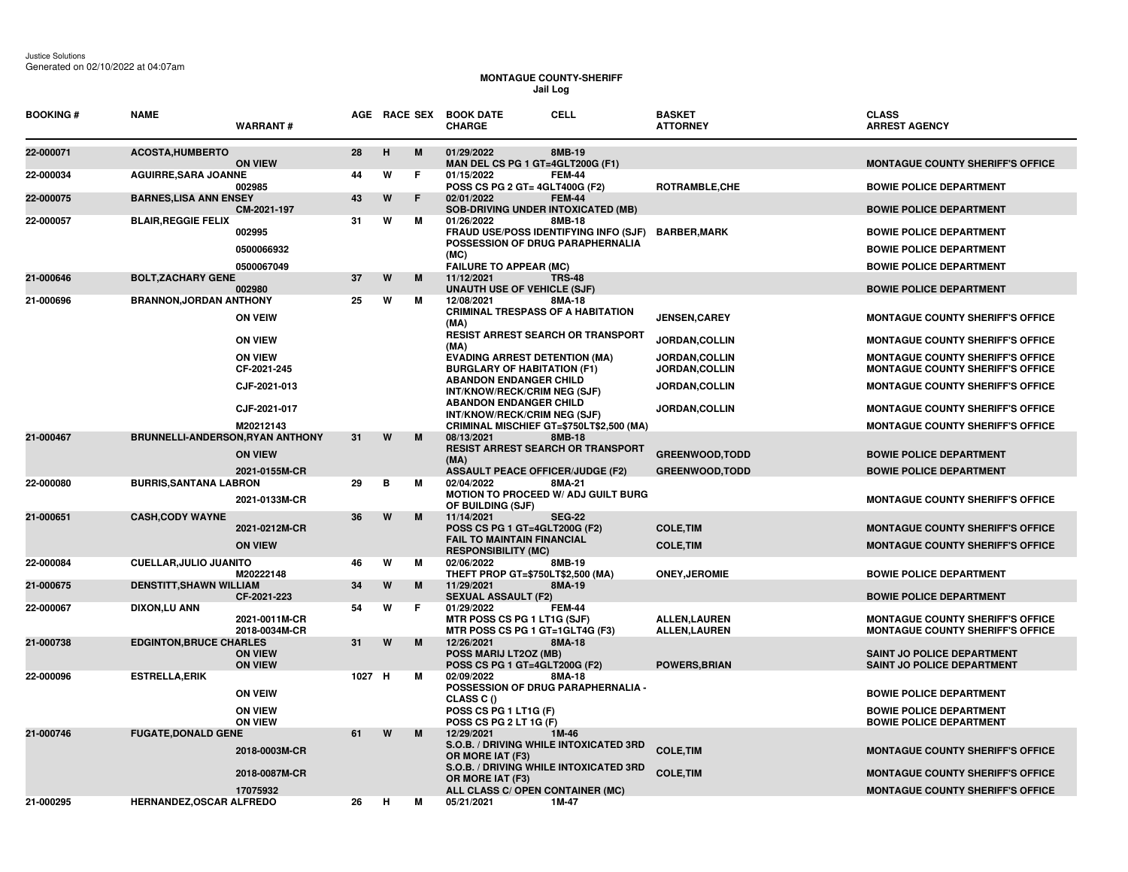Justice Solutions Generated on 02/10/2022 at 04:07am

## **MONTAGUE COUNTY-SHERIFF Jail Log**

| <b>BOOKING#</b> | <b>NAME</b>                      | <b>WARRANT#</b>                                  |        |   |   | <b>CELL</b><br>AGE RACE SEX BOOK DATE<br><b>CHARGE</b>                                                                                                | <b>BASKET</b><br><b>ATTORNEY</b>                | <b>CLASS</b><br><b>ARREST AGENCY</b>                                                                                 |
|-----------------|----------------------------------|--------------------------------------------------|--------|---|---|-------------------------------------------------------------------------------------------------------------------------------------------------------|-------------------------------------------------|----------------------------------------------------------------------------------------------------------------------|
| 22-000071       | <b>ACOSTA, HUMBERTO</b>          | <b>ON VIEW</b>                                   | 28     | H | M | 01/29/2022<br>8MB-19<br>MAN DEL CS PG 1 GT=4GLT200G (F1)                                                                                              |                                                 | <b>MONTAGUE COUNTY SHERIFF'S OFFICE</b>                                                                              |
| 22-000034       | <b>AGUIRRE, SARA JOANNE</b>      | 002985                                           | 44     | W | F | 01/15/2022<br><b>FEM-44</b><br>POSS CS PG 2 GT= 4GLT400G (F2)                                                                                         | ROTRAMBLE, CHE                                  | <b>BOWIE POLICE DEPARTMENT</b>                                                                                       |
| 22-000075       | <b>BARNES, LISA ANN ENSEY</b>    | CM-2021-197                                      | 43     | W | F | 02/01/2022<br><b>FEM-44</b><br><b>SOB-DRIVING UNDER INTOXICATED (MB)</b>                                                                              |                                                 | <b>BOWIE POLICE DEPARTMENT</b>                                                                                       |
| 22-000057       | <b>BLAIR, REGGIE FELIX</b>       | 002995<br>0500066932<br>0500067049               | 31     | W | м | 01/26/2022<br>8MB-18<br>FRAUD USE/POSS IDENTIFYING INFO (SJF)<br>POSSESSION OF DRUG PARAPHERNALIA<br>(MC)<br><b>FAILURE TO APPEAR (MC)</b>            | <b>BARBER, MARK</b>                             | <b>BOWIE POLICE DEPARTMENT</b><br><b>BOWIE POLICE DEPARTMENT</b><br><b>BOWIE POLICE DEPARTMENT</b>                   |
| 21-000646       | <b>BOLT, ZACHARY GENE</b>        | 002980                                           | 37     | W | M | <b>TRS-48</b><br>11/12/2021<br><b>UNAUTH USE OF VEHICLE (SJF)</b>                                                                                     |                                                 | <b>BOWIE POLICE DEPARTMENT</b>                                                                                       |
| 21-000696       | <b>BRANNON, JORDAN ANTHONY</b>   | <b>ON VEIW</b><br><b>ON VIEW</b>                 | 25     | W | M | 8MA-18<br>12/08/2021<br><b>CRIMINAL TRESPASS OF A HABITATION</b><br>(MA)<br><b>RESIST ARREST SEARCH OR TRANSPORT</b>                                  | <b>JENSEN, CAREY</b><br>JORDAN, COLLIN          | <b>MONTAGUE COUNTY SHERIFF'S OFFICE</b><br><b>MONTAGUE COUNTY SHERIFF'S OFFICE</b>                                   |
|                 |                                  | <b>ON VIEW</b><br>CF-2021-245                    |        |   |   | (MA)<br><b>EVADING ARREST DETENTION (MA)</b><br><b>BURGLARY OF HABITATION (F1)</b>                                                                    | JORDAN, COLLIN<br>JORDAN, COLLIN                | <b>MONTAGUE COUNTY SHERIFF'S OFFICE</b><br><b>MONTAGUE COUNTY SHERIFF'S OFFICE</b>                                   |
|                 |                                  | CJF-2021-013                                     |        |   |   | <b>ABANDON ENDANGER CHILD</b><br>INT/KNOW/RECK/CRIM NEG (SJF)<br><b>ABANDON ENDANGER CHILD</b>                                                        | JORDAN, COLLIN                                  | <b>MONTAGUE COUNTY SHERIFF'S OFFICE</b>                                                                              |
|                 |                                  | CJF-2021-017<br>M20212143                        |        |   |   | INT/KNOW/RECK/CRIM NEG (SJF)<br>CRIMINAL MISCHIEF GT=\$750LT\$2,500 (MA)                                                                              | JORDAN, COLLIN                                  | <b>MONTAGUE COUNTY SHERIFF'S OFFICE</b><br><b>MONTAGUE COUNTY SHERIFF'S OFFICE</b>                                   |
| 21-000467       | BRUNNELLI-ANDERSON, RYAN ANTHONY | <b>ON VIEW</b><br>2021-0155M-CR                  | 31     | W | M | 08/13/2021<br><b>8MB-18</b><br><b>RESIST ARREST SEARCH OR TRANSPORT</b><br>(MA)<br><b>ASSAULT PEACE OFFICER/JUDGE (F2)</b>                            | <b>GREENWOOD,TODD</b><br><b>GREENWOOD, TODD</b> | <b>BOWIE POLICE DEPARTMENT</b><br><b>BOWIE POLICE DEPARTMENT</b>                                                     |
| 22-000080       | <b>BURRIS, SANTANA LABRON</b>    | 2021-0133M-CR                                    | 29     | B | м | 02/04/2022<br>8MA-21<br><b>MOTION TO PROCEED W/ ADJ GUILT BURG</b><br>OF BUILDING (SJF)                                                               |                                                 | <b>MONTAGUE COUNTY SHERIFF'S OFFICE</b>                                                                              |
| 21-000651       | <b>CASH, CODY WAYNE</b>          | 2021-0212M-CR<br><b>ON VIEW</b>                  | 36     | W | M | 11/14/2021<br><b>SEG-22</b><br>POSS CS PG 1 GT=4GLT200G (F2)<br><b>FAIL TO MAINTAIN FINANCIAL</b><br><b>RESPONSIBILITY (MC)</b>                       | <b>COLE, TIM</b><br><b>COLE, TIM</b>            | <b>MONTAGUE COUNTY SHERIFF'S OFFICE</b><br><b>MONTAGUE COUNTY SHERIFF'S OFFICE</b>                                   |
| 22-000084       | <b>CUELLAR, JULIO JUANITO</b>    | M20222148                                        | 46     | W | м | 02/06/2022<br>8MB-19<br>THEFT PROP GT=\$750LT\$2,500 (MA)                                                                                             | <b>ONEY, JEROMIE</b>                            | <b>BOWIE POLICE DEPARTMENT</b>                                                                                       |
| 21-000675       | <b>DENSTITT, SHAWN WILLIAM</b>   | CF-2021-223                                      | 34     | W | M | 8MA-19<br>11/29/2021<br><b>SEXUAL ASSAULT (F2)</b>                                                                                                    |                                                 | <b>BOWIE POLICE DEPARTMENT</b>                                                                                       |
| 22-000067       | DIXON, LU ANN                    | 2021-0011M-CR<br>2018-0034M-CR                   | 54     | W | F | 01/29/2022<br><b>FEM-44</b><br>MTR POSS CS PG 1 LT1G (SJF)<br>MTR POSS CS PG 1 GT=1GLT4G (F3)                                                         | <b>ALLEN,LAUREN</b><br><b>ALLEN,LAUREN</b>      | <b>MONTAGUE COUNTY SHERIFF'S OFFICE</b><br><b>MONTAGUE COUNTY SHERIFF'S OFFICE</b>                                   |
| 21-000738       | <b>EDGINTON, BRUCE CHARLES</b>   | <b>ON VIEW</b><br><b>ON VIEW</b>                 | 31     | W | M | 12/26/2021<br>8MA-18<br>POSS MARIJ LT2OZ (MB)<br>POSS CS PG 1 GT=4GLT200G (F2)                                                                        | <b>POWERS, BRIAN</b>                            | <b>SAINT JO POLICE DEPARTMENT</b><br><b>SAINT JO POLICE DEPARTMENT</b>                                               |
| 22-000096       | <b>ESTRELLA, ERIK</b>            | <b>ON VEIW</b><br><b>ON VIEW</b>                 | 1027 H |   | м | 02/09/2022<br>8MA-18<br>POSSESSION OF DRUG PARAPHERNALIA -<br>CLASS C ()<br>POSS CS PG 1 LT1G (F)                                                     |                                                 | <b>BOWIE POLICE DEPARTMENT</b><br><b>BOWIE POLICE DEPARTMENT</b>                                                     |
| 21-000746       | <b>FUGATE, DONALD GENE</b>       | <b>ON VIEW</b><br>2018-0003M-CR<br>2018-0087M-CR | 61     | W | M | POSS CS PG 2 LT 1G (F)<br>12/29/2021<br>1M-46<br>S.O.B. / DRIVING WHILE INTOXICATED 3RD<br>OR MORE IAT (F3)<br>S.O.B. / DRIVING WHILE INTOXICATED 3RD | <b>COLE, TIM</b><br><b>COLE, TIM</b>            | <b>BOWIE POLICE DEPARTMENT</b><br><b>MONTAGUE COUNTY SHERIFF'S OFFICE</b><br><b>MONTAGUE COUNTY SHERIFF'S OFFICE</b> |
| 21-000295       | HERNANDEZ, OSCAR ALFREDO         | 17075932                                         | 26     | н | м | OR MORE IAT (F3)<br>ALL CLASS C/ OPEN CONTAINER (MC)<br>05/21/2021<br>1M-47                                                                           |                                                 | <b>MONTAGUE COUNTY SHERIFF'S OFFICE</b>                                                                              |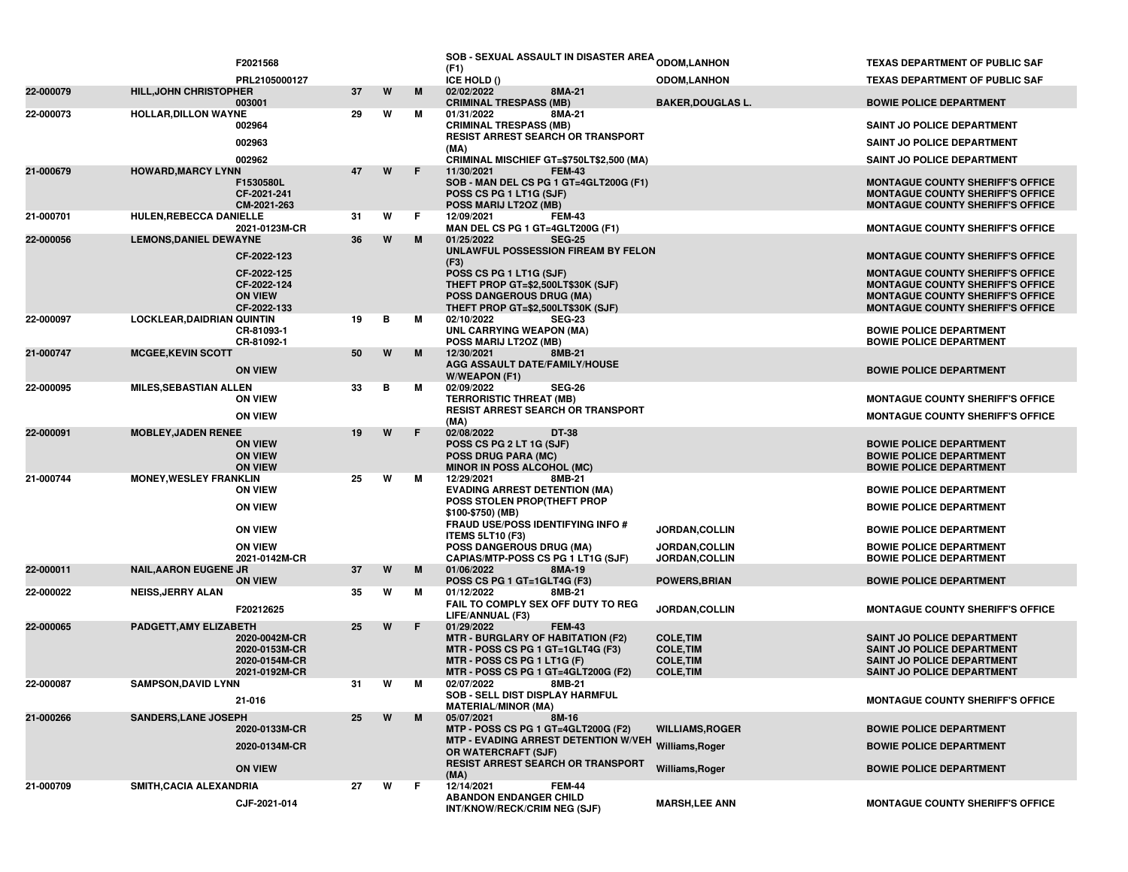|           |                                   | F2021568                                                         |    |   |    | SOB - SEXUAL ASSAULT IN DISASTER AREA ODOM,LANHON<br>(F1)                                                                                                                          |                                                                              | <b>TEXAS DEPARTMENT OF PUBLIC SAF</b>                                                                                                                             |
|-----------|-----------------------------------|------------------------------------------------------------------|----|---|----|------------------------------------------------------------------------------------------------------------------------------------------------------------------------------------|------------------------------------------------------------------------------|-------------------------------------------------------------------------------------------------------------------------------------------------------------------|
|           |                                   | PRL2105000127                                                    |    |   |    | ICE HOLD ()                                                                                                                                                                        | <b>ODOM,LANHON</b>                                                           | <b>TEXAS DEPARTMENT OF PUBLIC SAF</b>                                                                                                                             |
| 22-000079 | <b>HILL, JOHN CHRISTOPHER</b>     | 003001                                                           | 37 | W | M  | 02/02/2022<br>8MA-21<br><b>CRIMINAL TRESPASS (MB)</b>                                                                                                                              | <b>BAKER, DOUGLAS L.</b>                                                     | <b>BOWIE POLICE DEPARTMENT</b>                                                                                                                                    |
| 22-000073 | <b>HOLLAR, DILLON WAYNE</b>       |                                                                  | 29 | W | М  | 01/31/2022<br>8MA-21                                                                                                                                                               |                                                                              |                                                                                                                                                                   |
|           |                                   | 002964                                                           |    |   |    | <b>CRIMINAL TRESPASS (MB)</b>                                                                                                                                                      |                                                                              | <b>SAINT JO POLICE DEPARTMENT</b>                                                                                                                                 |
|           |                                   | 002963                                                           |    |   |    | RESIST ARREST SEARCH OR TRANSPORT<br>(MA)                                                                                                                                          |                                                                              | SAINT JO POLICE DEPARTMENT                                                                                                                                        |
|           |                                   | 002962                                                           |    |   |    | CRIMINAL MISCHIEF GT=\$750LT\$2,500 (MA)                                                                                                                                           |                                                                              | SAINT JO POLICE DEPARTMENT                                                                                                                                        |
| 21-000679 | <b>HOWARD, MARCY LYNN</b>         | F1530580L<br>CF-2021-241<br>CM-2021-263                          | 47 | W | F  | 11/30/2021<br><b>FEM-43</b><br>SOB - MAN DEL CS PG 1 GT=4GLT200G (F1)<br>POSS CS PG 1 LT1G (SJF)<br>POSS MARIJ LT2OZ (MB)                                                          |                                                                              | <b>MONTAGUE COUNTY SHERIFF'S OFFICE</b><br><b>MONTAGUE COUNTY SHERIFF'S OFFICE</b><br><b>MONTAGUE COUNTY SHERIFF'S OFFICE</b>                                     |
| 21-000701 | HULEN, REBECCA DANIELLE           | 2021-0123M-CR                                                    | 31 | W | F. | 12/09/2021<br><b>FEM-43</b><br>MAN DEL CS PG 1 GT=4GLT200G (F1)                                                                                                                    |                                                                              | <b>MONTAGUE COUNTY SHERIFF'S OFFICE</b>                                                                                                                           |
| 22-000056 | <b>LEMONS, DANIEL DEWAYNE</b>     |                                                                  | 36 | W | M  | 01/25/2022<br><b>SEG-25</b>                                                                                                                                                        |                                                                              |                                                                                                                                                                   |
|           |                                   | CF-2022-123                                                      |    |   |    | UNLAWFUL POSSESSION FIREAM BY FELON<br>(F3)                                                                                                                                        |                                                                              | <b>MONTAGUE COUNTY SHERIFF'S OFFICE</b>                                                                                                                           |
|           |                                   | CF-2022-125<br>CF-2022-124<br><b>ON VIEW</b><br>CF-2022-133      |    |   |    | POSS CS PG 1 LT1G (SJF)<br>THEFT PROP GT=\$2,500LT\$30K (SJF)<br><b>POSS DANGEROUS DRUG (MA)</b><br>THEFT PROP GT=\$2,500LT\$30K (SJF)                                             |                                                                              | <b>MONTAGUE COUNTY SHERIFF'S OFFICE</b><br><b>MONTAGUE COUNTY SHERIFF'S OFFICE</b><br><b>MONTAGUE COUNTY SHERIFF'S OFFICE</b><br>MONTAGUE COUNTY SHERIFF'S OFFICE |
| 22-000097 | <b>LOCKLEAR, DAIDRIAN QUINTIN</b> | CR-81093-1                                                       | 19 | в | М  | 02/10/2022<br><b>SEG-23</b><br>UNL CARRYING WEAPON (MA)                                                                                                                            |                                                                              | <b>BOWIE POLICE DEPARTMENT</b>                                                                                                                                    |
| 21-000747 | <b>MCGEE, KEVIN SCOTT</b>         | CR-81092-1                                                       | 50 | W | M  | POSS MARIJ LT2OZ (MB)<br>12/30/2021<br>8MB-21                                                                                                                                      |                                                                              | <b>BOWIE POLICE DEPARTMENT</b>                                                                                                                                    |
|           |                                   | <b>ON VIEW</b>                                                   |    |   |    | AGG ASSAULT DATE/FAMILY/HOUSE<br>W/WEAPON (F1)                                                                                                                                     |                                                                              | <b>BOWIE POLICE DEPARTMENT</b>                                                                                                                                    |
| 22-000095 | <b>MILES, SEBASTIAN ALLEN</b>     | <b>ON VIEW</b>                                                   | 33 | в | М  | 02/09/2022<br><b>SEG-26</b><br><b>TERRORISTIC THREAT (MB)</b>                                                                                                                      |                                                                              | <b>MONTAGUE COUNTY SHERIFF'S OFFICE</b>                                                                                                                           |
|           |                                   | <b>ON VIEW</b>                                                   |    |   |    | <b>RESIST ARREST SEARCH OR TRANSPORT</b><br>(MA)                                                                                                                                   |                                                                              | <b>MONTAGUE COUNTY SHERIFF'S OFFICE</b>                                                                                                                           |
| 22-000091 | <b>MOBLEY, JADEN RENEE</b>        | <b>ON VIEW</b><br><b>ON VIEW</b><br><b>ON VIEW</b>               | 19 | W | F  | 02/08/2022<br>DT-38<br>POSS CS PG 2 LT 1G (SJF)<br><b>POSS DRUG PARA (MC)</b><br>MINOR IN POSS ALCOHOL (MC)                                                                        |                                                                              | <b>BOWIE POLICE DEPARTMENT</b><br><b>BOWIE POLICE DEPARTMENT</b><br><b>BOWIE POLICE DEPARTMENT</b>                                                                |
| 21-000744 | <b>MONEY, WESLEY FRANKLIN</b>     | <b>ON VIEW</b>                                                   | 25 | W | М  | 12/29/2021<br>8MB-21<br><b>EVADING ARREST DETENTION (MA)</b>                                                                                                                       |                                                                              | <b>BOWIE POLICE DEPARTMENT</b>                                                                                                                                    |
|           |                                   | <b>ON VIEW</b>                                                   |    |   |    | POSS STOLEN PROP(THEFT PROP<br>\$100-\$750) (MB)                                                                                                                                   |                                                                              | <b>BOWIE POLICE DEPARTMENT</b>                                                                                                                                    |
|           |                                   | <b>ON VIEW</b>                                                   |    |   |    | <b>FRAUD USE/POSS IDENTIFYING INFO #</b><br><b>ITEMS 5LT10 (F3)</b>                                                                                                                | JORDAN, COLLIN                                                               | <b>BOWIE POLICE DEPARTMENT</b>                                                                                                                                    |
|           |                                   | <b>ON VIEW</b><br>2021-0142M-CR                                  |    |   |    | <b>POSS DANGEROUS DRUG (MA)</b><br>CAPIAS/MTP-POSS CS PG 1 LT1G (SJF)                                                                                                              | <b>JORDAN,COLLIN</b><br><b>JORDAN,COLLIN</b>                                 | <b>BOWIE POLICE DEPARTMENT</b><br><b>BOWIE POLICE DEPARTMENT</b>                                                                                                  |
| 22-000011 | <b>NAIL, AARON EUGENE JR</b>      | <b>ON VIEW</b>                                                   | 37 | W | M  | 01/06/2022<br>8MA-19<br>POSS CS PG 1 GT=1GLT4G (F3)                                                                                                                                | <b>POWERS, BRIAN</b>                                                         | <b>BOWIE POLICE DEPARTMENT</b>                                                                                                                                    |
| 22-000022 | <b>NEISS, JERRY ALAN</b>          |                                                                  | 35 | W | М  | 01/12/2022<br>8MB-21                                                                                                                                                               |                                                                              |                                                                                                                                                                   |
|           |                                   | F20212625                                                        |    |   |    | FAIL TO COMPLY SEX OFF DUTY TO REG<br>LIFE/ANNUAL (F3)                                                                                                                             | JORDAN, COLLIN                                                               | <b>MONTAGUE COUNTY SHERIFF'S OFFICE</b>                                                                                                                           |
| 22-000065 | PADGETT.AMY ELIZABETH             | 2020-0042M-CR<br>2020-0153M-CR<br>2020-0154M-CR<br>2021-0192M-CR | 25 | W | F  | 01/29/2022<br><b>FEM-43</b><br><b>MTR - BURGLARY OF HABITATION (F2)</b><br>MTR - POSS CS PG 1 GT=1GLT4G (F3)<br>MTR - POSS CS PG 1 LT1G (F)<br>MTR - POSS CS PG 1 GT=4GLT200G (F2) | <b>COLE, TIM</b><br><b>COLE, TIM</b><br><b>COLE, TIM</b><br><b>COLE, TIM</b> | SAINT JO POLICE DEPARTMENT<br>SAINT JO POLICE DEPARTMENT<br>SAINT JO POLICE DEPARTMENT<br>SAINT JO POLICE DEPARTMENT                                              |
| 22-000087 | <b>SAMPSON, DAVID LYNN</b>        | 21-016                                                           | 31 | W | м  | 02/07/2022<br>8MB-21<br><b>SOB - SELL DIST DISPLAY HARMFUL</b>                                                                                                                     |                                                                              | <b>MONTAGUE COUNTY SHERIFF'S OFFICE</b>                                                                                                                           |
| 21-000266 | <b>SANDERS, LANE JOSEPH</b>       |                                                                  | 25 | W | M  | <b>MATERIAL/MINOR (MA)</b><br>05/07/2021<br>8M-16                                                                                                                                  |                                                                              |                                                                                                                                                                   |
|           |                                   | 2020-0133M-CR                                                    |    |   |    | MTP - POSS CS PG 1 GT=4GLT200G (F2)                                                                                                                                                | <b>WILLIAMS, ROGER</b>                                                       | <b>BOWIE POLICE DEPARTMENT</b>                                                                                                                                    |
|           |                                   | 2020-0134M-CR                                                    |    |   |    | MTP - EVADING ARREST DETENTION W/VEH Williams, Roger<br>OR WATERCRAFT (SJF)                                                                                                        |                                                                              | <b>BOWIE POLICE DEPARTMENT</b>                                                                                                                                    |
|           |                                   | <b>ON VIEW</b>                                                   |    |   |    | <b>RESIST ARREST SEARCH OR TRANSPORT</b><br>(MA)                                                                                                                                   | Williams, Roger                                                              | <b>BOWIE POLICE DEPARTMENT</b>                                                                                                                                    |
| 21-000709 | SMITH, CACIA ALEXANDRIA           | CJF-2021-014                                                     | 27 | W | F. | 12/14/2021<br><b>FEM-44</b><br><b>ABANDON ENDANGER CHILD</b><br>INT/KNOW/RECK/CRIM NEG (SJF)                                                                                       | <b>MARSH,LEE ANN</b>                                                         | <b>MONTAGUE COUNTY SHERIFF'S OFFICE</b>                                                                                                                           |